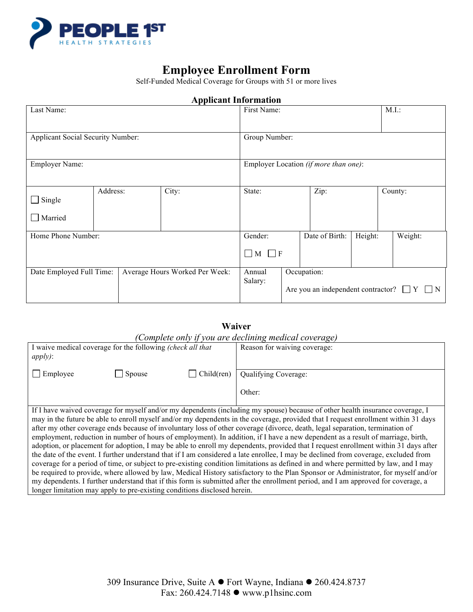

# **Employee Enrollment Form**

Self-Funded Medical Coverage for Groups with 51 or more lives

| Applicant miormation                                       |                   |  |                                       |                                                                   |                |          |  |         |
|------------------------------------------------------------|-------------------|--|---------------------------------------|-------------------------------------------------------------------|----------------|----------|--|---------|
| Last Name:                                                 |                   |  | First Name:                           |                                                                   |                | $M.I.$ : |  |         |
| Applicant Social Security Number:                          |                   |  |                                       | Group Number:                                                     |                |          |  |         |
| <b>Employer Name:</b>                                      |                   |  | Employer Location (if more than one): |                                                                   |                |          |  |         |
| $\Box$ Single<br>$\Box$ Married                            | Address:<br>City: |  | State:                                |                                                                   | Zip:           |          |  | County: |
| Home Phone Number:                                         |                   |  | Gender:<br>$\Box M \Box F$            |                                                                   | Date of Birth: | Height:  |  | Weight: |
| Date Employed Full Time:<br>Average Hours Worked Per Week: |                   |  | Annual<br>Salary:                     | Occupation:<br>Are you an independent contractor? $\Box Y \Box N$ |                |          |  |         |

## **Applicant Information**

## **Waiver**  *(Complete only if you are declining medical coverage)*

| Complete only you are accuming meater coverage,                                                                                     |        |           |                                                                                                                               |  |  |
|-------------------------------------------------------------------------------------------------------------------------------------|--------|-----------|-------------------------------------------------------------------------------------------------------------------------------|--|--|
| I waive medical coverage for the following (check all that                                                                          |        |           | Reason for waiving coverage:                                                                                                  |  |  |
| $apply)$ :                                                                                                                          |        |           |                                                                                                                               |  |  |
|                                                                                                                                     |        |           |                                                                                                                               |  |  |
| Employee                                                                                                                            | Spouse | Children) | Qualifying Coverage:                                                                                                          |  |  |
|                                                                                                                                     |        |           |                                                                                                                               |  |  |
|                                                                                                                                     |        |           | Other:                                                                                                                        |  |  |
|                                                                                                                                     |        |           |                                                                                                                               |  |  |
|                                                                                                                                     |        |           | If I have waived coverage for myself and/or my dependents (including my spouse) because of other health insurance coverage, I |  |  |
| may in the future be able to enroll myself and/or my dependents in the coverage, provided that I request enrollment within 31 days  |        |           |                                                                                                                               |  |  |
| after my other coverage ends because of involuntary loss of other coverage (divorce, death, legal separation, termination of        |        |           |                                                                                                                               |  |  |
| employment, reduction in number of hours of employment). In addition, if I have a new dependent as a result of marriage, birth,     |        |           |                                                                                                                               |  |  |
| adoption, or placement for adoption, I may be able to enroll my dependents, provided that I request enrollment within 31 days after |        |           |                                                                                                                               |  |  |
| the date of the event. I further understand that if I am considered a late enrollee, I may be declined from coverage, excluded from |        |           |                                                                                                                               |  |  |
| coverage for a period of time, or subject to pre-existing condition limitations as defined in and where permitted by law, and I may |        |           |                                                                                                                               |  |  |
| be required to provide, where allowed by law, Medical History satisfactory to the Plan Sponsor or Administrator, for myself and/or  |        |           |                                                                                                                               |  |  |
| my dependents. I further understand that if this form is submitted after the enrollment period, and I am approved for coverage, a   |        |           |                                                                                                                               |  |  |
| longer limitation may apply to pre-existing conditions disclosed herein.                                                            |        |           |                                                                                                                               |  |  |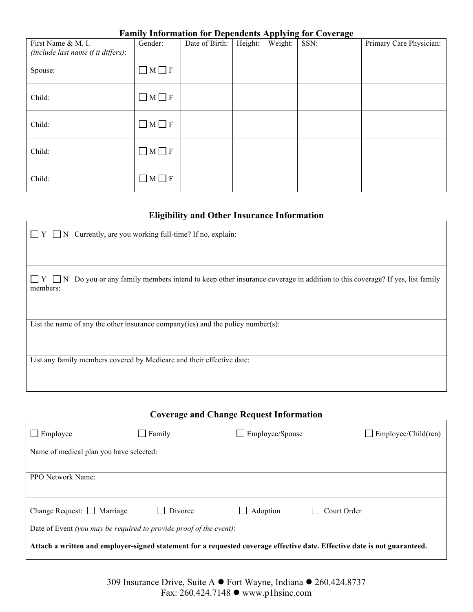### **Family Information for Dependents Applying for Coverage**

| First Name & M. I.<br>(include last name if it differs): | Gender:           | Date of Birth: | Height: | rr v o<br>Weight: | ాం<br>SSN: | Primary Care Physician: |
|----------------------------------------------------------|-------------------|----------------|---------|-------------------|------------|-------------------------|
| Spouse:                                                  | $\Box$ M $\Box$ F |                |         |                   |            |                         |
| Child:                                                   | $\Box$ M $\Box$ F |                |         |                   |            |                         |
| Child:                                                   | $\Box$ M $\Box$ F |                |         |                   |            |                         |
| Child:                                                   | $\Box$ M $\Box$ F |                |         |                   |            |                         |
| Child:                                                   | $\Box$ M $\Box$ F |                |         |                   |            |                         |

## **Eligibility and Other Insurance Information**

| <b>Coverage and Change Request Information</b>                                                                            |         |                 |                            |  |  |
|---------------------------------------------------------------------------------------------------------------------------|---------|-----------------|----------------------------|--|--|
| $\Box$ Employee                                                                                                           | Family  | Employee/Spouse | $\Box$ Employee/Child(ren) |  |  |
| Name of medical plan you have selected:                                                                                   |         |                 |                            |  |  |
| PPO Network Name:                                                                                                         |         |                 |                            |  |  |
| Change Request: $\Box$ Marriage                                                                                           | Divorce | Adoption        | Court Order                |  |  |
| Date of Event (you may be required to provide proof of the event):                                                        |         |                 |                            |  |  |
| Attach a written and employer-signed statement for a requested coverage effective date. Effective date is not guaranteed. |         |                 |                            |  |  |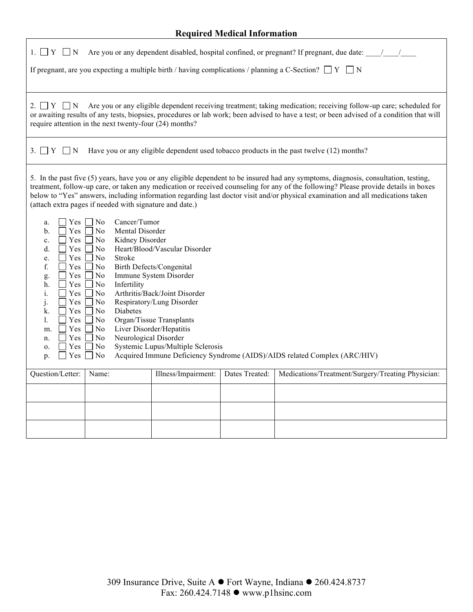## **Required Medical Information**

| 1. $\Box$ Y $\Box$ N                                                                                                                                                                                                                                                                                                                                                                                                                                                                                                                                                                                                                                                                                                                                                                                                                                                  | Are you or any dependent disabled, hospital confined, or pregnant? If pregnant, due date: ///                                                                                                                                                                                                                            |                     |                |                                                                                          |  |  |
|-----------------------------------------------------------------------------------------------------------------------------------------------------------------------------------------------------------------------------------------------------------------------------------------------------------------------------------------------------------------------------------------------------------------------------------------------------------------------------------------------------------------------------------------------------------------------------------------------------------------------------------------------------------------------------------------------------------------------------------------------------------------------------------------------------------------------------------------------------------------------|--------------------------------------------------------------------------------------------------------------------------------------------------------------------------------------------------------------------------------------------------------------------------------------------------------------------------|---------------------|----------------|------------------------------------------------------------------------------------------|--|--|
| If pregnant, are you expecting a multiple birth / having complications / planning a C-Section? $\Box$ Y $\Box$ N                                                                                                                                                                                                                                                                                                                                                                                                                                                                                                                                                                                                                                                                                                                                                      |                                                                                                                                                                                                                                                                                                                          |                     |                |                                                                                          |  |  |
| 2. $\Box Y \Box N$                                                                                                                                                                                                                                                                                                                                                                                                                                                                                                                                                                                                                                                                                                                                                                                                                                                    | Are you or any eligible dependent receiving treatment; taking medication; receiving follow-up care; scheduled for<br>or awaiting results of any tests, biopsies, procedures or lab work; been advised to have a test; or been advised of a condition that will<br>require attention in the next twenty-four (24) months? |                     |                |                                                                                          |  |  |
| $3. \Box Y \Box N$                                                                                                                                                                                                                                                                                                                                                                                                                                                                                                                                                                                                                                                                                                                                                                                                                                                    |                                                                                                                                                                                                                                                                                                                          |                     |                | Have you or any eligible dependent used tobacco products in the past twelve (12) months? |  |  |
| 5. In the past five (5) years, have you or any eligible dependent to be insured had any symptoms, diagnosis, consultation, testing,<br>treatment, follow-up care, or taken any medication or received counseling for any of the following? Please provide details in boxes<br>below to "Yes" answers, including information regarding last doctor visit and/or physical examination and all medications taken<br>(attach extra pages if needed with signature and date.)                                                                                                                                                                                                                                                                                                                                                                                              |                                                                                                                                                                                                                                                                                                                          |                     |                |                                                                                          |  |  |
| Yes $\Box$ No<br>Cancer/Tumor<br>a.<br>Mental Disorder<br>Yes<br>No<br>b.<br>Kidney Disorder<br>Yes<br>No<br>$\mathbf{c}$ .<br>Heart/Blood/Vascular Disorder<br>d.<br>Yes<br>N <sub>o</sub><br>Yes<br>No<br>Stroke<br>e.<br>f.<br><b>Birth Defects/Congenital</b><br>Yes<br>No<br>Immune System Disorder<br>Yes<br>No<br>g.<br>Infertility<br>Yes<br>No<br>h.<br>Arthritis/Back/Joint Disorder<br>i.<br>Yes<br>No<br>Respiratory/Lung Disorder<br>j.<br>Yes<br>N <sub>0</sub><br>Diabetes<br>Yes<br>N <sub>o</sub><br>k.<br>Organ/Tissue Transplants<br>1.<br>Yes<br>No<br>Liver Disorder/Hepatitis<br>Yes<br>N <sub>0</sub><br>m.<br>Neurological Disorder<br>Yes<br>N <sub>o</sub><br>n.<br>Systemic Lupus/Multiple Sclerosis<br>Yes<br>N <sub>0</sub><br>0.<br>Acquired Immune Deficiency Syndrome (AIDS)/AIDS related Complex (ARC/HIV)<br>Yes<br>$\Box$ No<br>p. |                                                                                                                                                                                                                                                                                                                          |                     |                |                                                                                          |  |  |
| Question/Letter:                                                                                                                                                                                                                                                                                                                                                                                                                                                                                                                                                                                                                                                                                                                                                                                                                                                      | Name:                                                                                                                                                                                                                                                                                                                    | Illness/Impairment: | Dates Treated: | Medications/Treatment/Surgery/Treating Physician:                                        |  |  |
|                                                                                                                                                                                                                                                                                                                                                                                                                                                                                                                                                                                                                                                                                                                                                                                                                                                                       |                                                                                                                                                                                                                                                                                                                          |                     |                |                                                                                          |  |  |
|                                                                                                                                                                                                                                                                                                                                                                                                                                                                                                                                                                                                                                                                                                                                                                                                                                                                       |                                                                                                                                                                                                                                                                                                                          |                     |                |                                                                                          |  |  |
|                                                                                                                                                                                                                                                                                                                                                                                                                                                                                                                                                                                                                                                                                                                                                                                                                                                                       |                                                                                                                                                                                                                                                                                                                          |                     |                |                                                                                          |  |  |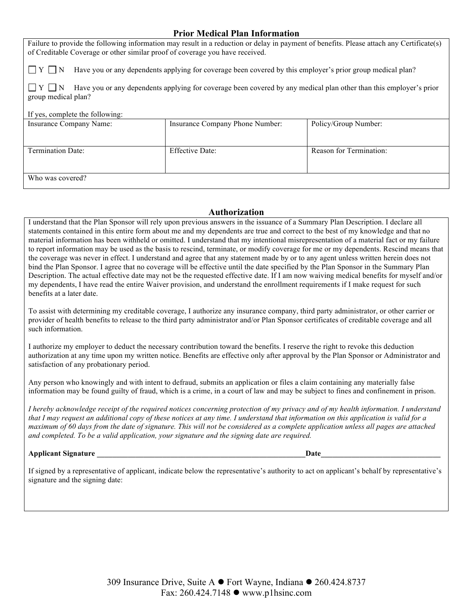## **Prior Medical Plan Information**

Failure to provide the following information may result in a reduction or delay in payment of benefits. Please attach any Certificate(s) of Creditable Coverage or other similar proof of coverage you have received.

 $\Box Y \Box N$  Have you or any dependents applying for coverage been covered by this employer's prior group medical plan?

 $\Box Y \Box N$  Have you or any dependents applying for coverage been covered by any medical plan other than this employer's prior group medical plan?

#### If yes, complete the following:

| Insurance Company Name: | Insurance Company Phone Number: | Policy/Group Number:    |
|-------------------------|---------------------------------|-------------------------|
|                         |                                 |                         |
| Termination Date:       | <b>Effective Date:</b>          | Reason for Termination: |
| Who was covered?        |                                 |                         |

#### **Authorization**

I understand that the Plan Sponsor will rely upon previous answers in the issuance of a Summary Plan Description. I declare all statements contained in this entire form about me and my dependents are true and correct to the best of my knowledge and that no material information has been withheld or omitted. I understand that my intentional misrepresentation of a material fact or my failure to report information may be used as the basis to rescind, terminate, or modify coverage for me or my dependents. Rescind means that the coverage was never in effect. I understand and agree that any statement made by or to any agent unless written herein does not bind the Plan Sponsor. I agree that no coverage will be effective until the date specified by the Plan Sponsor in the Summary Plan Description. The actual effective date may not be the requested effective date. If I am now waiving medical benefits for myself and/or my dependents, I have read the entire Waiver provision, and understand the enrollment requirements if I make request for such benefits at a later date.

To assist with determining my creditable coverage, I authorize any insurance company, third party administrator, or other carrier or provider of health benefits to release to the third party administrator and/or Plan Sponsor certificates of creditable coverage and all such information.

I authorize my employer to deduct the necessary contribution toward the benefits. I reserve the right to revoke this deduction authorization at any time upon my written notice. Benefits are effective only after approval by the Plan Sponsor or Administrator and satisfaction of any probationary period.

Any person who knowingly and with intent to defraud, submits an application or files a claim containing any materially false information may be found guilty of fraud, which is a crime, in a court of law and may be subject to fines and confinement in prison.

*I hereby acknowledge receipt of the required notices concerning protection of my privacy and of my health information. I understand that I may request an additional copy of these notices at any time. I understand that information on this application is valid for a maximum of 60 days from the date of signature. This will not be considered as a complete application unless all pages are attached and completed. To be a valid application, your signature and the signing date are required.*

**Applicant Signature**   $\qquad \qquad$  **Date** 

If signed by a representative of applicant, indicate below the representative's authority to act on applicant's behalf by representative's signature and the signing date: